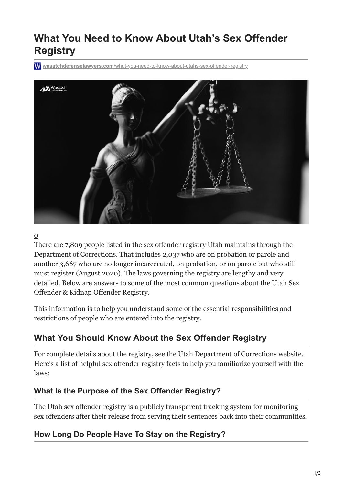# **What You Need to Know About Utah's Sex Offender Registry**

**wasatchdefenselawyers.com**[/what-you-need-to-know-about-utahs-sex-offender-registry](https://wasatchdefenselawyers.com/what-you-need-to-know-about-utahs-sex-offender-registry/)



#### $\overline{O}$

There are 7,809 people listed in the [sex offender registry Utah](https://www.communitynotification.com/cap_office_disclaimer.php?office=54438) maintains through the Department of Corrections. That includes 2,037 who are on probation or parole and another 3,667 who are no longer incarcerated, on probation, or on parole but who still must register (August 2020). The laws governing the registry are lengthy and very detailed. Below are answers to some of the most common questions about the Utah Sex Offender & Kidnap Offender Registry.

This information is to help you understand some of the essential responsibilities and restrictions of people who are entered into the registry.

# **What You Should Know About the Sex Offender Registry**

For complete details about the registry, see the Utah Department of Corrections website. Here's a list of helpful [sex offender registry facts](https://wasatchdefenselawyers.com/long-sex-offender-register/) to help you familiarize yourself with the laws:

#### **What Is the Purpose of the Sex Offender Registry?**

The Utah sex offender registry is a publicly transparent tracking system for monitoring sex offenders after their release from serving their sentences back into their communities.

#### **How Long Do People Have To Stay on the Registry?**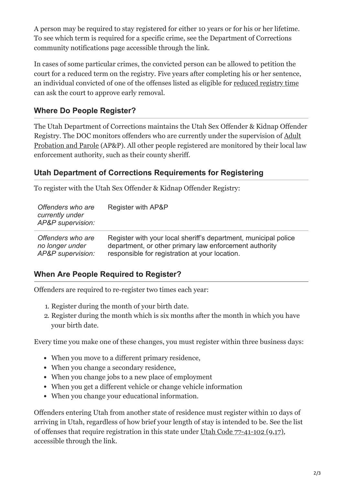A person may be required to stay registered for either 10 years or for his or her lifetime. To see which term is required for a specific crime, see the Department of Corrections community notifications page accessible through the link.

In cases of some particular crimes, the convicted person can be allowed to petition the court for a reduced term on the registry. Five years after completing his or her sentence, an individual convicted of one of the offenses listed as eligible for [reduced registry time](https://wasatchdefenselawyers.com/practice-areas/sex-offender-registry-issues/) can ask the court to approve early removal.

#### **Where Do People Register?**

The Utah Department of Corrections maintains the Utah Sex Offender & Kidnap Offender Registry. The DOC monitors offenders who are currently under the supervision of Adult [Probation and Parole \(AP&P\). All other people registered are monitored by their local la](https://corrections.utah.gov/probation-parole/contact-app/)w enforcement authority, such as their county sheriff.

#### **Utah Department of Corrections Requirements for Registering**

To register with the Utah Sex Offender & Kidnap Offender Registry:

| Offenders who are<br>currently under<br>AP&P supervision: | Register with AP&P                                              |
|-----------------------------------------------------------|-----------------------------------------------------------------|
| Offenders who are                                         | Register with your local sheriff's department, municipal police |
| no longer under                                           | department, or other primary law enforcement authority          |
| AP&P supervision:                                         | responsible for registration at your location.                  |

## **When Are People Required to Register?**

Offenders are required to re-register two times each year:

- 1. Register during the month of your birth date.
- 2. Register during the month which is six months after the month in which you have your birth date.

Every time you make one of these changes, you must register within three business days:

- When you move to a different primary residence,
- When you change a secondary residence,
- When you change jobs to a new place of employment
- When you get a different vehicle or change vehicle information
- When you change your educational information.

Offenders entering Utah from another state of residence must register within 10 days of arriving in Utah, regardless of how brief your length of stay is intended to be. See the list of offenses that require registration in this state under [Utah Code 77-41-102 \(9,17\)](https://le.utah.gov/xcode/Title77/Chapter41/77-41-S102.html), accessible through the link.